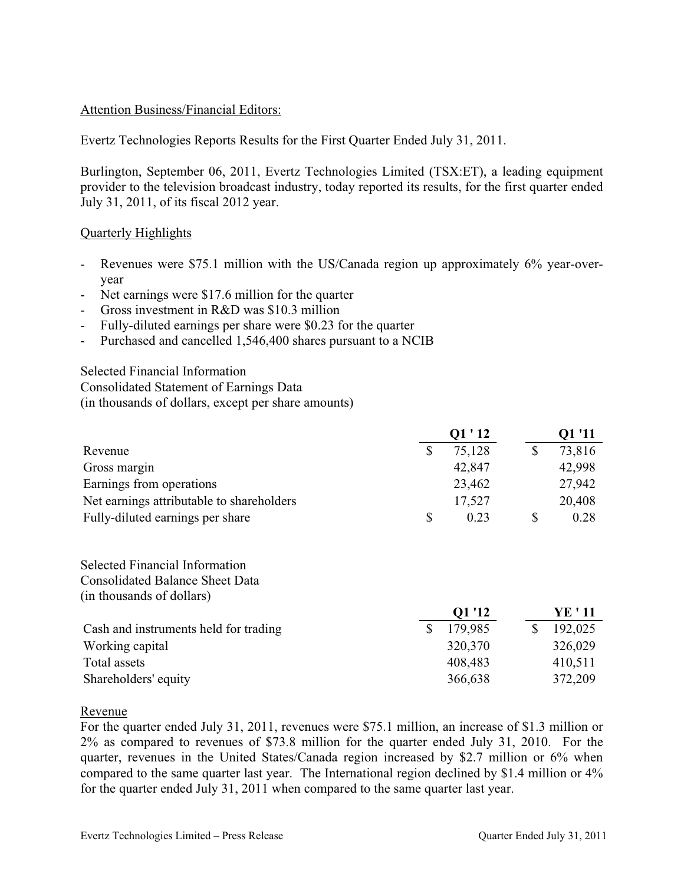# Attention Business/Financial Editors:

Evertz Technologies Reports Results for the First Quarter Ended July 31, 2011.

Burlington, September 06, 2011, Evertz Technologies Limited (TSX:ET), a leading equipment provider to the television broadcast industry, today reported its results, for the first quarter ended July 31, 2011, of its fiscal 2012 year.

# Quarterly Highlights

- Revenues were \$75.1 million with the US/Canada region up approximately 6% year-overyear
- Net earnings were \$17.6 million for the quarter
- Gross investment in R&D was \$10.3 million
- Fully-diluted earnings per share were \$0.23 for the quarter
- Purchased and cancelled 1,546,400 shares pursuant to a NCIB

Selected Financial Information Consolidated Statement of Earnings Data (in thousands of dollars, except per share amounts)

|                                           |          | O1 ' 12 | Q1 '11 |
|-------------------------------------------|----------|---------|--------|
| Revenue                                   |          | 75,128  | 73,816 |
| Gross margin                              |          | 42,847  | 42,998 |
| Earnings from operations                  |          | 23,462  | 27,942 |
| Net earnings attributable to shareholders |          | 17,527  | 20,408 |
| Fully-diluted earnings per share          | <b>S</b> | 0.23    | 0.28   |

Selected Financial Information Consolidated Balance Sheet Data (in thousands of dollars)

|                                       | Q1 '12  | YE ' 11 |
|---------------------------------------|---------|---------|
| Cash and instruments held for trading | 179,985 | 192,025 |
| Working capital                       | 320,370 | 326,029 |
| Total assets                          | 408,483 | 410,511 |
| Shareholders' equity                  | 366,638 | 372,209 |

#### Revenue

For the quarter ended July 31, 2011, revenues were \$75.1 million, an increase of \$1.3 million or 2% as compared to revenues of \$73.8 million for the quarter ended July 31, 2010. For the quarter, revenues in the United States/Canada region increased by \$2.7 million or 6% when compared to the same quarter last year. The International region declined by \$1.4 million or 4% for the quarter ended July 31, 2011 when compared to the same quarter last year.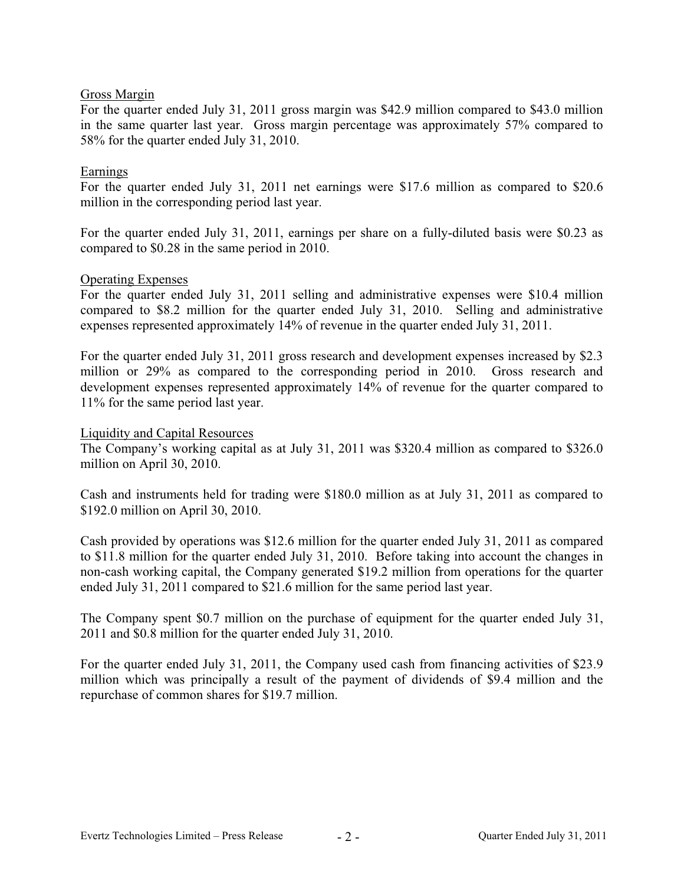# Gross Margin

For the quarter ended July 31, 2011 gross margin was \$42.9 million compared to \$43.0 million in the same quarter last year. Gross margin percentage was approximately 57% compared to 58% for the quarter ended July 31, 2010.

### Earnings

For the quarter ended July 31, 2011 net earnings were \$17.6 million as compared to \$20.6 million in the corresponding period last year.

For the quarter ended July 31, 2011, earnings per share on a fully-diluted basis were \$0.23 as compared to \$0.28 in the same period in 2010.

#### Operating Expenses

For the quarter ended July 31, 2011 selling and administrative expenses were \$10.4 million compared to \$8.2 million for the quarter ended July 31, 2010. Selling and administrative expenses represented approximately 14% of revenue in the quarter ended July 31, 2011.

For the quarter ended July 31, 2011 gross research and development expenses increased by \$2.3 million or 29% as compared to the corresponding period in 2010. Gross research and development expenses represented approximately 14% of revenue for the quarter compared to 11% for the same period last year.

#### Liquidity and Capital Resources

The Company's working capital as at July 31, 2011 was \$320.4 million as compared to \$326.0 million on April 30, 2010.

Cash and instruments held for trading were \$180.0 million as at July 31, 2011 as compared to \$192.0 million on April 30, 2010.

Cash provided by operations was \$12.6 million for the quarter ended July 31, 2011 as compared to \$11.8 million for the quarter ended July 31, 2010. Before taking into account the changes in non-cash working capital, the Company generated \$19.2 million from operations for the quarter ended July 31, 2011 compared to \$21.6 million for the same period last year.

The Company spent \$0.7 million on the purchase of equipment for the quarter ended July 31, 2011 and \$0.8 million for the quarter ended July 31, 2010.

For the quarter ended July 31, 2011, the Company used cash from financing activities of \$23.9 million which was principally a result of the payment of dividends of \$9.4 million and the repurchase of common shares for \$19.7 million.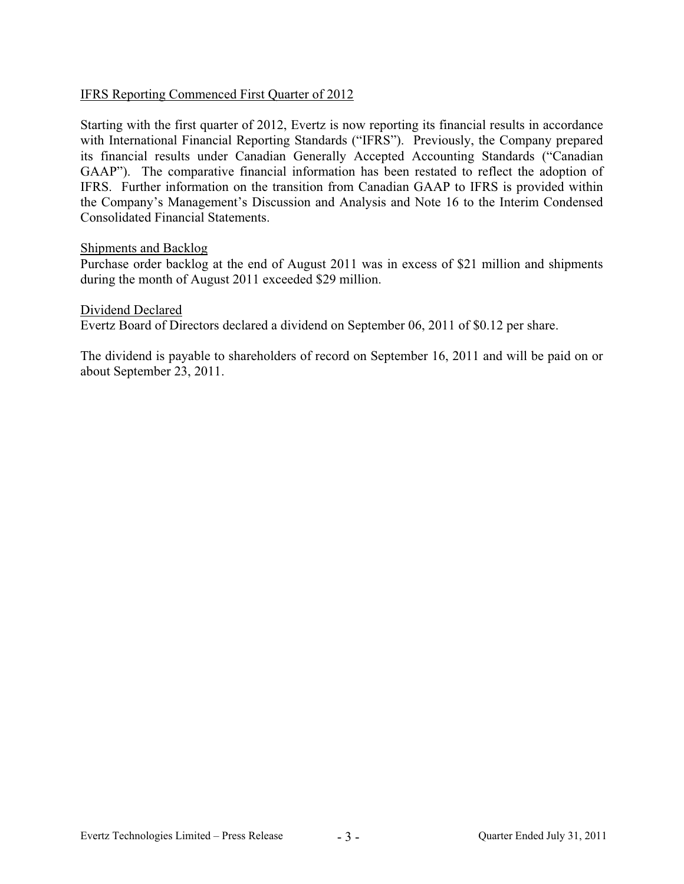# IFRS Reporting Commenced First Quarter of 2012

Starting with the first quarter of 2012, Evertz is now reporting its financial results in accordance with International Financial Reporting Standards ("IFRS"). Previously, the Company prepared its financial results under Canadian Generally Accepted Accounting Standards ("Canadian GAAP"). The comparative financial information has been restated to reflect the adoption of IFRS. Further information on the transition from Canadian GAAP to IFRS is provided within the Company's Management's Discussion and Analysis and Note 16 to the Interim Condensed Consolidated Financial Statements.

#### Shipments and Backlog

Purchase order backlog at the end of August 2011 was in excess of \$21 million and shipments during the month of August 2011 exceeded \$29 million.

Dividend Declared

Evertz Board of Directors declared a dividend on September 06, 2011 of \$0.12 per share.

The dividend is payable to shareholders of record on September 16, 2011 and will be paid on or about September 23, 2011.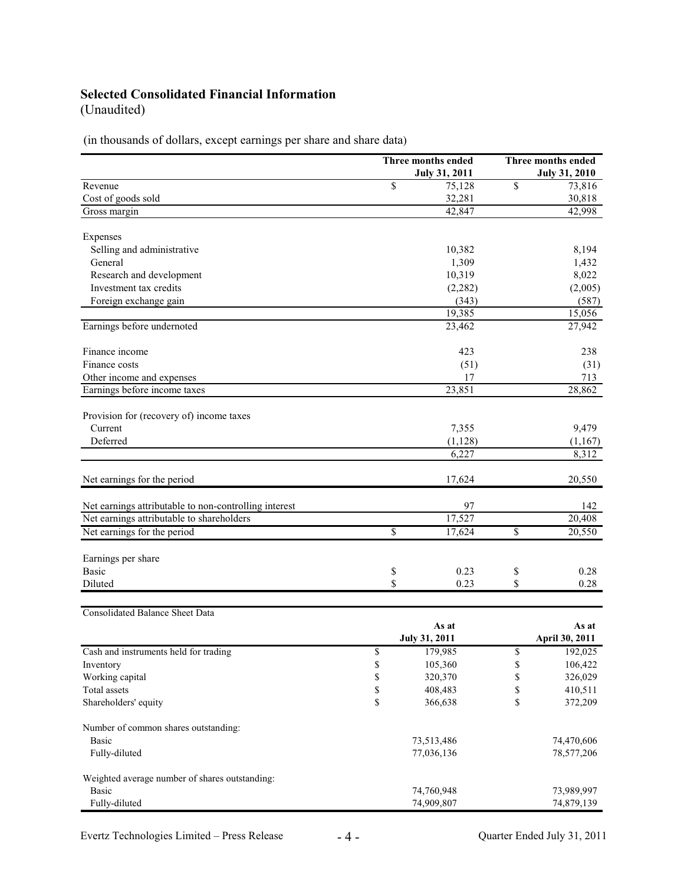# **Selected Consolidated Financial Information**

(Unaudited)

(in thousands of dollars, except earnings per share and share data)

|                                                       |            | Three months ended   |    | Three months ended   |  |
|-------------------------------------------------------|------------|----------------------|----|----------------------|--|
|                                                       |            | <b>July 31, 2011</b> |    | <b>July 31, 2010</b> |  |
| Revenue                                               | \$         | 75,128               | \$ | 73,816               |  |
| Cost of goods sold                                    |            | 32,281               |    | 30,818               |  |
| Gross margin                                          |            | 42,847               |    | 42,998               |  |
|                                                       |            |                      |    |                      |  |
| Expenses                                              |            |                      |    |                      |  |
| Selling and administrative                            |            | 10,382               |    | 8,194                |  |
| General                                               |            | 1,309                |    | 1,432                |  |
| Research and development                              |            | 10,319               |    | 8,022                |  |
| Investment tax credits                                |            | (2, 282)             |    | (2,005)              |  |
| Foreign exchange gain                                 |            | (343)                |    | (587)                |  |
|                                                       |            | 19,385               |    | 15,056               |  |
| Earnings before undernoted                            |            | 23,462               |    | 27,942               |  |
|                                                       |            |                      |    |                      |  |
| Finance income                                        |            | 423                  |    | 238                  |  |
| Finance costs                                         |            | (51)                 |    | (31)                 |  |
| Other income and expenses                             |            | 17                   |    | 713                  |  |
| Earnings before income taxes                          |            | 23,851               |    | 28,862               |  |
| Provision for (recovery of) income taxes              |            |                      |    |                      |  |
| Current                                               |            |                      |    | 9,479                |  |
| Deferred                                              |            | 7,355<br>(1, 128)    |    | (1,167)              |  |
|                                                       |            | 6,227                |    | 8,312                |  |
|                                                       |            |                      |    |                      |  |
| Net earnings for the period                           |            | 17,624               |    | 20,550               |  |
|                                                       |            |                      |    |                      |  |
| Net earnings attributable to non-controlling interest |            | 97                   |    | 142                  |  |
| Net earnings attributable to shareholders             |            | 17,527               |    | $\overline{20,408}$  |  |
| Net earnings for the period                           | \$         | 17,624               | \$ | 20,550               |  |
|                                                       |            |                      |    |                      |  |
| Earnings per share                                    |            |                      |    |                      |  |
| Basic                                                 | \$         | 0.23                 | \$ | 0.28                 |  |
| Diluted                                               | \$         | 0.23                 | \$ | 0.28                 |  |
|                                                       |            |                      |    |                      |  |
| <b>Consolidated Balance Sheet Data</b>                |            |                      |    |                      |  |
|                                                       | As at      |                      |    | As at                |  |
|                                                       |            | <b>July 31, 2011</b> |    | April 30, 2011       |  |
| Cash and instruments held for trading                 | \$         | 179,985              | \$ | 192,025              |  |
| Inventory                                             | \$         | 105,360              | \$ | 106,422              |  |
| Working capital                                       | \$         | 320,370              | \$ | 326,029              |  |
| Total assets                                          | \$         | 408,483              | \$ | 410,511              |  |
| Shareholders' equity                                  | \$         | 366,638              | \$ | 372,209              |  |
|                                                       |            |                      |    |                      |  |
| Number of common shares outstanding:                  |            |                      |    |                      |  |
| Basic                                                 | 73,513,486 |                      |    | 74,470,606           |  |
| Fully-diluted                                         |            | 77,036,136           |    | 78,577,206           |  |
|                                                       |            |                      |    |                      |  |
| Weighted average number of shares outstanding:        |            |                      |    |                      |  |
| <b>Basic</b>                                          |            | 74,760,948           |    | 73,989,997           |  |
| Fully-diluted                                         | 74,909,807 |                      |    | 74,879,139           |  |